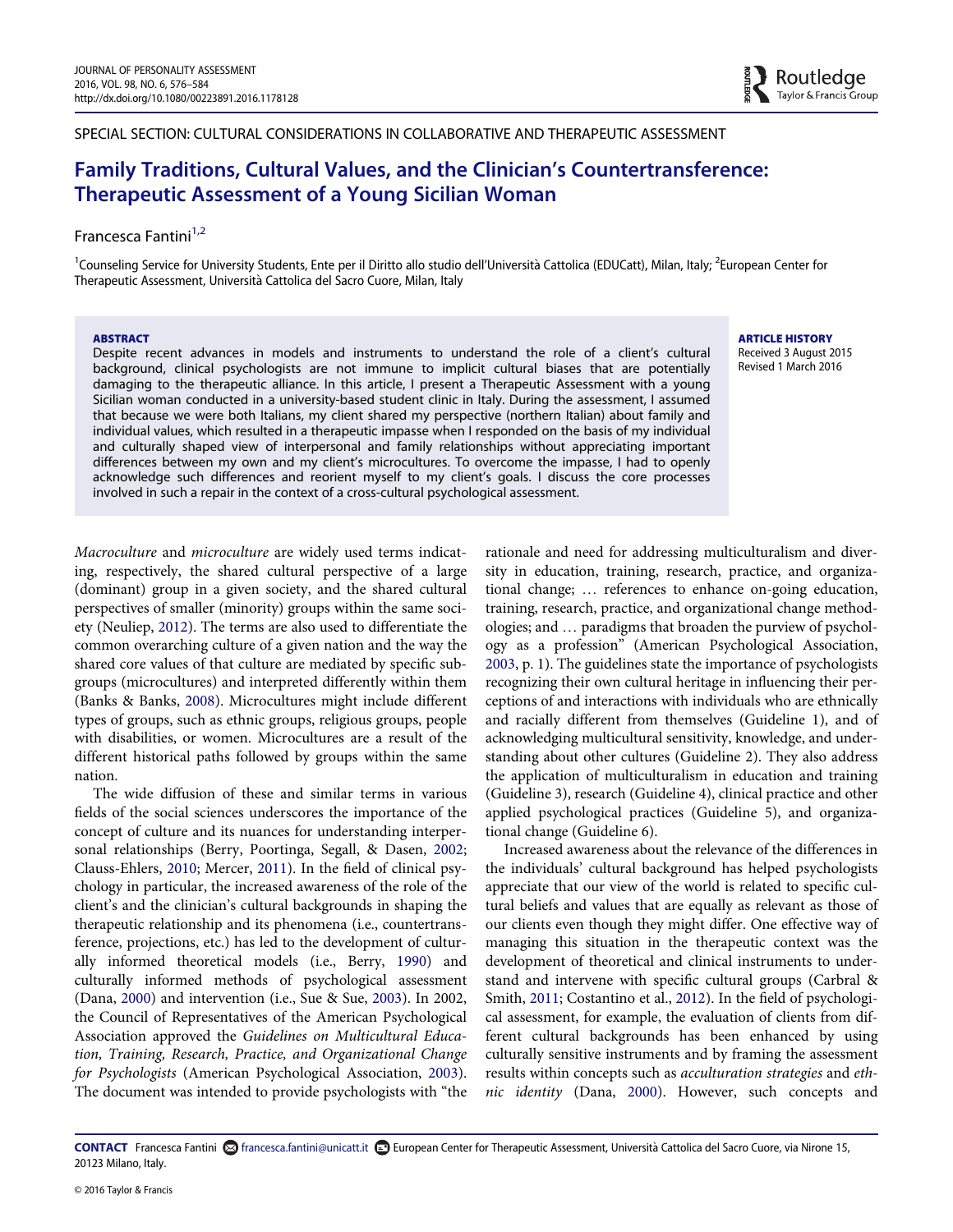SPECIAL SECTION: CULTURAL CONSIDERATIONS IN COLLABORATIVE AND THERAPEUTIC ASSESSMENT

# Family Traditions, Cultural Values, and the Clinician's Countertransference: Therapeutic Assessment of a Young Sicilian Woman

# Francesca Fantini<sup>[1,2](#page-0-0)</sup>

<span id="page-0-0"></span><sup>1</sup>Counseling Service for University Students, Ente per il Diritto allo studio dell'Università Cattolica (EDUCatt), Milan, Italy; <sup>2</sup>European Center for Therapeutic Assessment, Università Cattolica del Sacro Cuore, Milan, Italy

#### ABSTRACT

Despite recent advances in models and instruments to understand the role of a client's cultural background, clinical psychologists are not immune to implicit cultural biases that are potentially damaging to the therapeutic alliance. In this article, I present a Therapeutic Assessment with a young Sicilian woman conducted in a university-based student clinic in Italy. During the assessment, I assumed that because we were both Italians, my client shared my perspective (northern Italian) about family and individual values, which resulted in a therapeutic impasse when I responded on the basis of my individual and culturally shaped view of interpersonal and family relationships without appreciating important differences between my own and my client's microcultures. To overcome the impasse, I had to openly acknowledge such differences and reorient myself to my client's goals. I discuss the core processes involved in such a repair in the context of a cross-cultural psychological assessment.

Macroculture and microculture are widely used terms indicating, respectively, the shared cultural perspective of a large (dominant) group in a given society, and the shared cultural perspectives of smaller (minority) groups within the same society (Neuliep, [2012\)](#page-7-0). The terms are also used to differentiate the common overarching culture of a given nation and the way the shared core values of that culture are mediated by specific subgroups (microcultures) and interpreted differently within them (Banks & Banks, [2008](#page-7-1)). Microcultures might include different types of groups, such as ethnic groups, religious groups, people with disabilities, or women. Microcultures are a result of the different historical paths followed by groups within the same nation.

The wide diffusion of these and similar terms in various fields of the social sciences underscores the importance of the concept of culture and its nuances for understanding interpersonal relationships (Berry, Poortinga, Segall, & Dasen, [2002;](#page-7-2) Clauss-Ehlers, [2010](#page-7-3); Mercer, [2011\)](#page-7-4). In the field of clinical psychology in particular, the increased awareness of the role of the client's and the clinician's cultural backgrounds in shaping the therapeutic relationship and its phenomena (i.e., countertransference, projections, etc.) has led to the development of culturally informed theoretical models (i.e., Berry, [1990](#page-7-5)) and culturally informed methods of psychological assessment (Dana, [2000\)](#page-7-6) and intervention (i.e., Sue & Sue, [2003](#page-8-0)). In 2002, the Council of Representatives of the American Psychological Association approved the Guidelines on Multicultural Education, Training, Research, Practice, and Organizational Change for Psychologists (American Psychological Association, [2003](#page-7-7)). The document was intended to provide psychologists with "the

rationale and need for addressing multiculturalism and diversity in education, training, research, practice, and organizational change; … references to enhance on-going education, training, research, practice, and organizational change methodologies; and … paradigms that broaden the purview of psychology as a profession" (American Psychological Association, [2003](#page-7-7), p. 1). The guidelines state the importance of psychologists recognizing their own cultural heritage in influencing their perceptions of and interactions with individuals who are ethnically and racially different from themselves (Guideline 1), and of acknowledging multicultural sensitivity, knowledge, and understanding about other cultures (Guideline 2). They also address the application of multiculturalism in education and training (Guideline 3), research (Guideline 4), clinical practice and other applied psychological practices (Guideline 5), and organizational change (Guideline 6).

Increased awareness about the relevance of the differences in the individuals' cultural background has helped psychologists appreciate that our view of the world is related to specific cultural beliefs and values that are equally as relevant as those of our clients even though they might differ. One effective way of managing this situation in the therapeutic context was the development of theoretical and clinical instruments to understand and intervene with specific cultural groups (Carbral & Smith, [2011;](#page-7-8) Costantino et al., [2012](#page-7-9)). In the field of psychological assessment, for example, the evaluation of clients from different cultural backgrounds has been enhanced by using culturally sensitive instruments and by framing the assessment results within concepts such as acculturation strategies and ethnic identity (Dana, [2000](#page-7-6)). However, such concepts and

CONTACT Francesca Fantini **S** francesca.fantini@unicatt.it **E** European Center for Therapeutic Assessment, Università Cattolica del Sacro Cuore, via Nirone 15, 20123 Milano, Italy.

ARTICLE HISTORY Received 3 August 2015 Revised 1 March 2016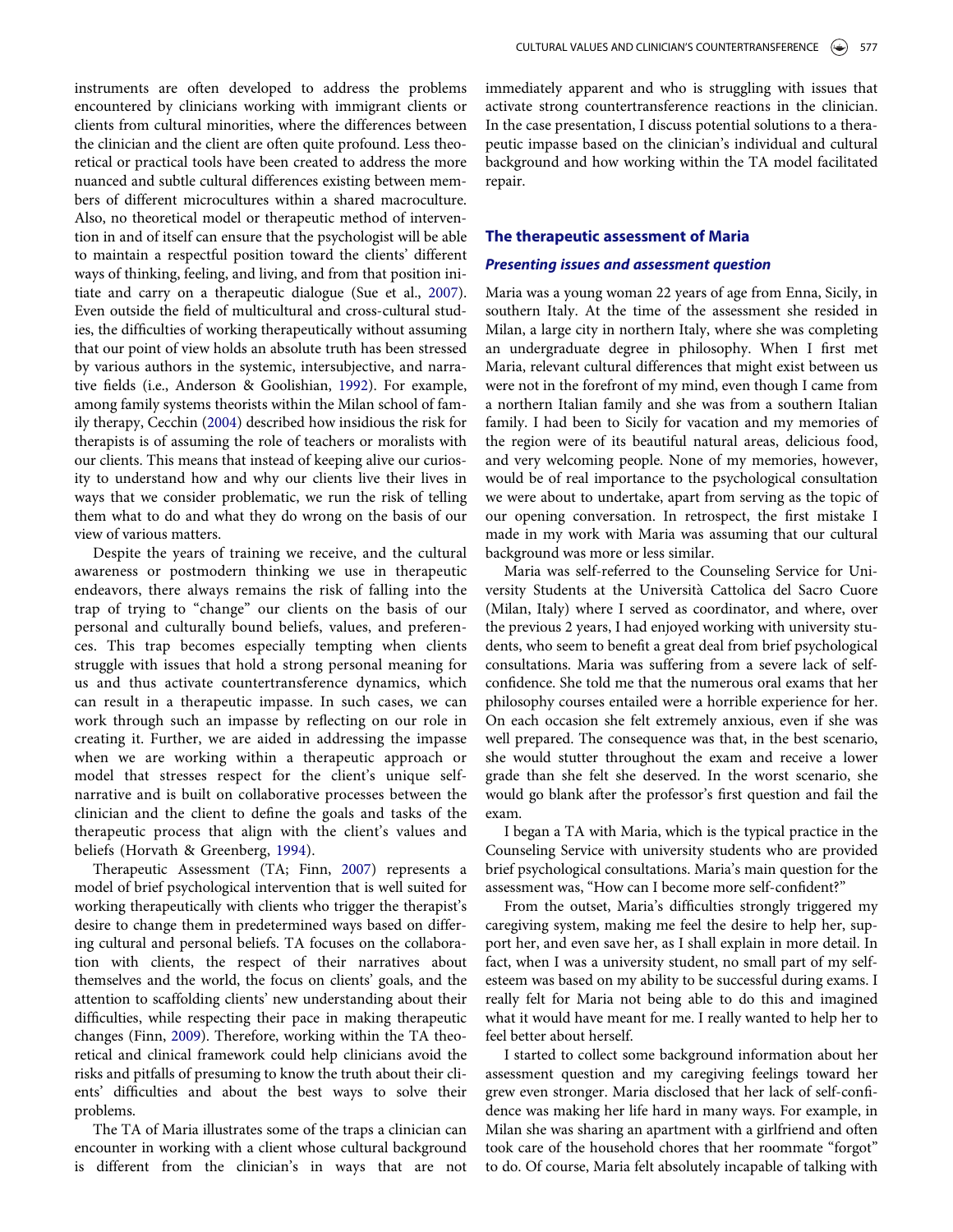instruments are often developed to address the problems encountered by clinicians working with immigrant clients or clients from cultural minorities, where the differences between the clinician and the client are often quite profound. Less theoretical or practical tools have been created to address the more nuanced and subtle cultural differences existing between members of different microcultures within a shared macroculture. Also, no theoretical model or therapeutic method of intervention in and of itself can ensure that the psychologist will be able to maintain a respectful position toward the clients' different ways of thinking, feeling, and living, and from that position initiate and carry on a therapeutic dialogue (Sue et al., [2007](#page-8-1)). Even outside the field of multicultural and cross-cultural studies, the difficulties of working therapeutically without assuming that our point of view holds an absolute truth has been stressed by various authors in the systemic, intersubjective, and narrative fields (i.e., Anderson & Goolishian, [1992\)](#page-7-10). For example, among family systems theorists within the Milan school of family therapy, Cecchin [\(2004](#page-7-11)) described how insidious the risk for therapists is of assuming the role of teachers or moralists with our clients. This means that instead of keeping alive our curiosity to understand how and why our clients live their lives in ways that we consider problematic, we run the risk of telling them what to do and what they do wrong on the basis of our view of various matters.

Despite the years of training we receive, and the cultural awareness or postmodern thinking we use in therapeutic endeavors, there always remains the risk of falling into the trap of trying to "change" our clients on the basis of our personal and culturally bound beliefs, values, and preferences. This trap becomes especially tempting when clients struggle with issues that hold a strong personal meaning for us and thus activate countertransference dynamics, which can result in a therapeutic impasse. In such cases, we can work through such an impasse by reflecting on our role in creating it. Further, we are aided in addressing the impasse when we are working within a therapeutic approach or model that stresses respect for the client's unique selfnarrative and is built on collaborative processes between the clinician and the client to define the goals and tasks of the therapeutic process that align with the client's values and beliefs (Horvath & Greenberg, [1994\)](#page-7-12).

Therapeutic Assessment (TA; Finn, [2007\)](#page-7-13) represents a model of brief psychological intervention that is well suited for working therapeutically with clients who trigger the therapist's desire to change them in predetermined ways based on differing cultural and personal beliefs. TA focuses on the collaboration with clients, the respect of their narratives about themselves and the world, the focus on clients' goals, and the attention to scaffolding clients' new understanding about their difficulties, while respecting their pace in making therapeutic changes (Finn, [2009](#page-7-14)). Therefore, working within the TA theoretical and clinical framework could help clinicians avoid the risks and pitfalls of presuming to know the truth about their clients' difficulties and about the best ways to solve their problems.

The TA of Maria illustrates some of the traps a clinician can encounter in working with a client whose cultural background is different from the clinician's in ways that are not immediately apparent and who is struggling with issues that activate strong countertransference reactions in the clinician. In the case presentation, I discuss potential solutions to a therapeutic impasse based on the clinician's individual and cultural background and how working within the TA model facilitated repair.

## The therapeutic assessment of Maria

## Presenting issues and assessment question

Maria was a young woman 22 years of age from Enna, Sicily, in southern Italy. At the time of the assessment she resided in Milan, a large city in northern Italy, where she was completing an undergraduate degree in philosophy. When I first met Maria, relevant cultural differences that might exist between us were not in the forefront of my mind, even though I came from a northern Italian family and she was from a southern Italian family. I had been to Sicily for vacation and my memories of the region were of its beautiful natural areas, delicious food, and very welcoming people. None of my memories, however, would be of real importance to the psychological consultation we were about to undertake, apart from serving as the topic of our opening conversation. In retrospect, the first mistake I made in my work with Maria was assuming that our cultural background was more or less similar.

Maria was self-referred to the Counseling Service for University Students at the Università Cattolica del Sacro Cuore (Milan, Italy) where I served as coordinator, and where, over the previous 2 years, I had enjoyed working with university students, who seem to benefit a great deal from brief psychological consultations. Maria was suffering from a severe lack of selfconfidence. She told me that the numerous oral exams that her philosophy courses entailed were a horrible experience for her. On each occasion she felt extremely anxious, even if she was well prepared. The consequence was that, in the best scenario, she would stutter throughout the exam and receive a lower grade than she felt she deserved. In the worst scenario, she would go blank after the professor's first question and fail the exam.

I began a TA with Maria, which is the typical practice in the Counseling Service with university students who are provided brief psychological consultations. Maria's main question for the assessment was, "How can I become more self-confident?"

From the outset, Maria's difficulties strongly triggered my caregiving system, making me feel the desire to help her, support her, and even save her, as I shall explain in more detail. In fact, when I was a university student, no small part of my selfesteem was based on my ability to be successful during exams. I really felt for Maria not being able to do this and imagined what it would have meant for me. I really wanted to help her to feel better about herself.

I started to collect some background information about her assessment question and my caregiving feelings toward her grew even stronger. Maria disclosed that her lack of self-confidence was making her life hard in many ways. For example, in Milan she was sharing an apartment with a girlfriend and often took care of the household chores that her roommate "forgot" to do. Of course, Maria felt absolutely incapable of talking with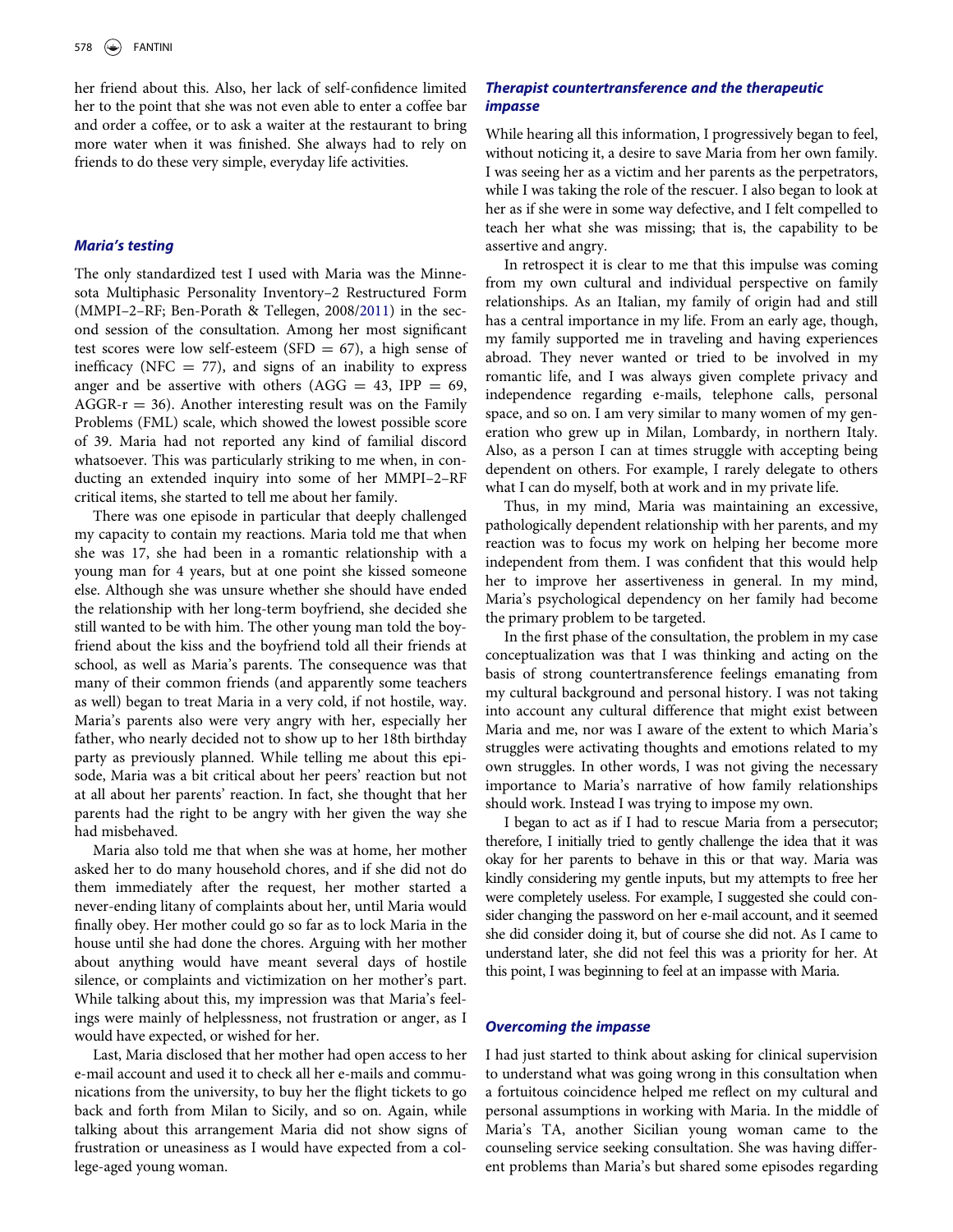her friend about this. Also, her lack of self-confidence limited her to the point that she was not even able to enter a coffee bar and order a coffee, or to ask a waiter at the restaurant to bring more water when it was finished. She always had to rely on friends to do these very simple, everyday life activities.

# Maria's testing

The only standardized test I used with Maria was the Minnesota Multiphasic Personality Inventory–2 Restructured Form (MMPI–2–RF; Ben-Porath & Tellegen, 2008[/2011](#page-7-15)) in the second session of the consultation. Among her most significant test scores were low self-esteem (SFD  $= 67$ ), a high sense of inefficacy (NFC  $= 77$ ), and signs of an inability to express anger and be assertive with others (AGG = 43, IPP = 69,  $AGGR-r = 36$ ). Another interesting result was on the Family Problems (FML) scale, which showed the lowest possible score of 39. Maria had not reported any kind of familial discord whatsoever. This was particularly striking to me when, in conducting an extended inquiry into some of her MMPI–2–RF critical items, she started to tell me about her family.

There was one episode in particular that deeply challenged my capacity to contain my reactions. Maria told me that when she was 17, she had been in a romantic relationship with a young man for 4 years, but at one point she kissed someone else. Although she was unsure whether she should have ended the relationship with her long-term boyfriend, she decided she still wanted to be with him. The other young man told the boyfriend about the kiss and the boyfriend told all their friends at school, as well as Maria's parents. The consequence was that many of their common friends (and apparently some teachers as well) began to treat Maria in a very cold, if not hostile, way. Maria's parents also were very angry with her, especially her father, who nearly decided not to show up to her 18th birthday party as previously planned. While telling me about this episode, Maria was a bit critical about her peers' reaction but not at all about her parents' reaction. In fact, she thought that her parents had the right to be angry with her given the way she had misbehaved.

Maria also told me that when she was at home, her mother asked her to do many household chores, and if she did not do them immediately after the request, her mother started a never-ending litany of complaints about her, until Maria would finally obey. Her mother could go so far as to lock Maria in the house until she had done the chores. Arguing with her mother about anything would have meant several days of hostile silence, or complaints and victimization on her mother's part. While talking about this, my impression was that Maria's feelings were mainly of helplessness, not frustration or anger, as I would have expected, or wished for her.

Last, Maria disclosed that her mother had open access to her e-mail account and used it to check all her e-mails and communications from the university, to buy her the flight tickets to go back and forth from Milan to Sicily, and so on. Again, while talking about this arrangement Maria did not show signs of frustration or uneasiness as I would have expected from a college-aged young woman.

# Therapist countertransference and the therapeutic impasse

While hearing all this information, I progressively began to feel, without noticing it, a desire to save Maria from her own family. I was seeing her as a victim and her parents as the perpetrators, while I was taking the role of the rescuer. I also began to look at her as if she were in some way defective, and I felt compelled to teach her what she was missing; that is, the capability to be assertive and angry.

In retrospect it is clear to me that this impulse was coming from my own cultural and individual perspective on family relationships. As an Italian, my family of origin had and still has a central importance in my life. From an early age, though, my family supported me in traveling and having experiences abroad. They never wanted or tried to be involved in my romantic life, and I was always given complete privacy and independence regarding e-mails, telephone calls, personal space, and so on. I am very similar to many women of my generation who grew up in Milan, Lombardy, in northern Italy. Also, as a person I can at times struggle with accepting being dependent on others. For example, I rarely delegate to others what I can do myself, both at work and in my private life.

Thus, in my mind, Maria was maintaining an excessive, pathologically dependent relationship with her parents, and my reaction was to focus my work on helping her become more independent from them. I was confident that this would help her to improve her assertiveness in general. In my mind, Maria's psychological dependency on her family had become the primary problem to be targeted.

In the first phase of the consultation, the problem in my case conceptualization was that I was thinking and acting on the basis of strong countertransference feelings emanating from my cultural background and personal history. I was not taking into account any cultural difference that might exist between Maria and me, nor was I aware of the extent to which Maria's struggles were activating thoughts and emotions related to my own struggles. In other words, I was not giving the necessary importance to Maria's narrative of how family relationships should work. Instead I was trying to impose my own.

I began to act as if I had to rescue Maria from a persecutor; therefore, I initially tried to gently challenge the idea that it was okay for her parents to behave in this or that way. Maria was kindly considering my gentle inputs, but my attempts to free her were completely useless. For example, I suggested she could consider changing the password on her e-mail account, and it seemed she did consider doing it, but of course she did not. As I came to understand later, she did not feel this was a priority for her. At this point, I was beginning to feel at an impasse with Maria.

## Overcoming the impasse

I had just started to think about asking for clinical supervision to understand what was going wrong in this consultation when a fortuitous coincidence helped me reflect on my cultural and personal assumptions in working with Maria. In the middle of Maria's TA, another Sicilian young woman came to the counseling service seeking consultation. She was having different problems than Maria's but shared some episodes regarding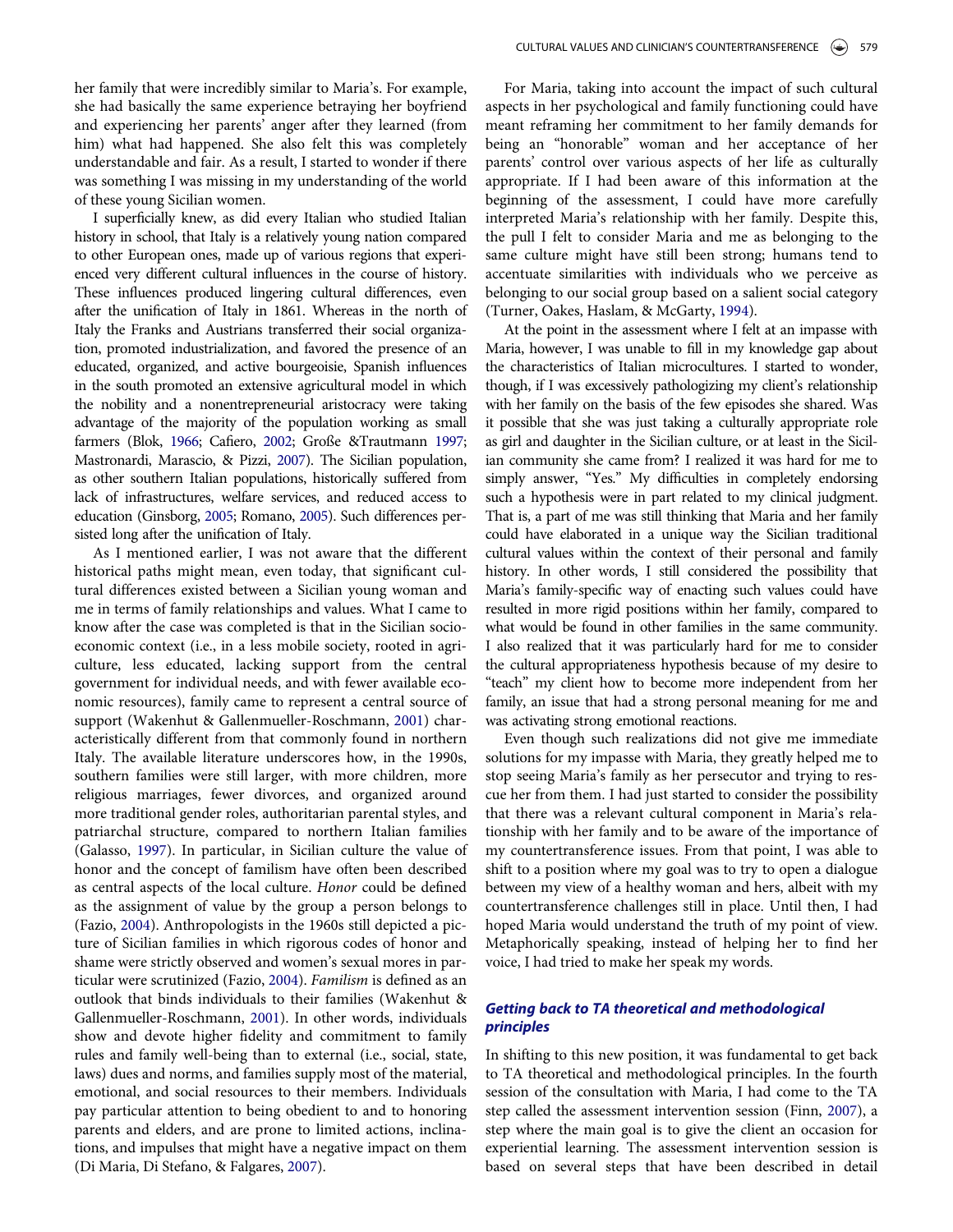of these young Sicilian women. I superficially knew, as did every Italian who studied Italian history in school, that Italy is a relatively young nation compared to other European ones, made up of various regions that experienced very different cultural influences in the course of history. These influences produced lingering cultural differences, even after the unification of Italy in 1861. Whereas in the north of Italy the Franks and Austrians transferred their social organization, promoted industrialization, and favored the presence of an educated, organized, and active bourgeoisie, Spanish influences in the south promoted an extensive agricultural model in which the nobility and a nonentrepreneurial aristocracy were taking advantage of the majority of the population working as small farmers (Blok, [1966;](#page-7-16) Cafiero, [2002;](#page-7-17) Große &Trautmann [1997;](#page-7-18) Mastronardi, Marascio, & Pizzi, [2007](#page-7-19)). The Sicilian population, as other southern Italian populations, historically suffered from lack of infrastructures, welfare services, and reduced access to education (Ginsborg, [2005;](#page-7-20) Romano, [2005\)](#page-7-21). Such differences persisted long after the unification of Italy.

As I mentioned earlier, I was not aware that the different historical paths might mean, even today, that significant cultural differences existed between a Sicilian young woman and me in terms of family relationships and values. What I came to know after the case was completed is that in the Sicilian socioeconomic context (i.e., in a less mobile society, rooted in agriculture, less educated, lacking support from the central government for individual needs, and with fewer available economic resources), family came to represent a central source of support (Wakenhut & Gallenmueller-Roschmann, [2001](#page-8-2)) characteristically different from that commonly found in northern Italy. The available literature underscores how, in the 1990s, southern families were still larger, with more children, more religious marriages, fewer divorces, and organized around more traditional gender roles, authoritarian parental styles, and patriarchal structure, compared to northern Italian families (Galasso, [1997](#page-7-22)). In particular, in Sicilian culture the value of honor and the concept of familism have often been described as central aspects of the local culture. Honor could be defined as the assignment of value by the group a person belongs to (Fazio, [2004\)](#page-7-23). Anthropologists in the 1960s still depicted a picture of Sicilian families in which rigorous codes of honor and shame were strictly observed and women's sexual mores in particular were scrutinized (Fazio, [2004\)](#page-7-23). Familism is defined as an outlook that binds individuals to their families (Wakenhut & Gallenmueller-Roschmann, [2001\)](#page-8-2). In other words, individuals show and devote higher fidelity and commitment to family rules and family well-being than to external (i.e., social, state, laws) dues and norms, and families supply most of the material, emotional, and social resources to their members. Individuals pay particular attention to being obedient to and to honoring parents and elders, and are prone to limited actions, inclinations, and impulses that might have a negative impact on them (Di Maria, Di Stefano, & Falgares, [2007\)](#page-7-24).

For Maria, taking into account the impact of such cultural aspects in her psychological and family functioning could have meant reframing her commitment to her family demands for being an "honorable" woman and her acceptance of her parents' control over various aspects of her life as culturally appropriate. If I had been aware of this information at the beginning of the assessment, I could have more carefully interpreted Maria's relationship with her family. Despite this, the pull I felt to consider Maria and me as belonging to the same culture might have still been strong; humans tend to accentuate similarities with individuals who we perceive as belonging to our social group based on a salient social category (Turner, Oakes, Haslam, & McGarty, [1994](#page-8-3)).

At the point in the assessment where I felt at an impasse with Maria, however, I was unable to fill in my knowledge gap about the characteristics of Italian microcultures. I started to wonder, though, if I was excessively pathologizing my client's relationship with her family on the basis of the few episodes she shared. Was it possible that she was just taking a culturally appropriate role as girl and daughter in the Sicilian culture, or at least in the Sicilian community she came from? I realized it was hard for me to simply answer, "Yes." My difficulties in completely endorsing such a hypothesis were in part related to my clinical judgment. That is, a part of me was still thinking that Maria and her family could have elaborated in a unique way the Sicilian traditional cultural values within the context of their personal and family history. In other words, I still considered the possibility that Maria's family-specific way of enacting such values could have resulted in more rigid positions within her family, compared to what would be found in other families in the same community. I also realized that it was particularly hard for me to consider the cultural appropriateness hypothesis because of my desire to "teach" my client how to become more independent from her family, an issue that had a strong personal meaning for me and was activating strong emotional reactions.

Even though such realizations did not give me immediate solutions for my impasse with Maria, they greatly helped me to stop seeing Maria's family as her persecutor and trying to rescue her from them. I had just started to consider the possibility that there was a relevant cultural component in Maria's relationship with her family and to be aware of the importance of my countertransference issues. From that point, I was able to shift to a position where my goal was to try to open a dialogue between my view of a healthy woman and hers, albeit with my countertransference challenges still in place. Until then, I had hoped Maria would understand the truth of my point of view. Metaphorically speaking, instead of helping her to find her voice, I had tried to make her speak my words.

# Getting back to TA theoretical and methodological principles

In shifting to this new position, it was fundamental to get back to TA theoretical and methodological principles. In the fourth session of the consultation with Maria, I had come to the TA step called the assessment intervention session (Finn, [2007\)](#page-7-13), a step where the main goal is to give the client an occasion for experiential learning. The assessment intervention session is based on several steps that have been described in detail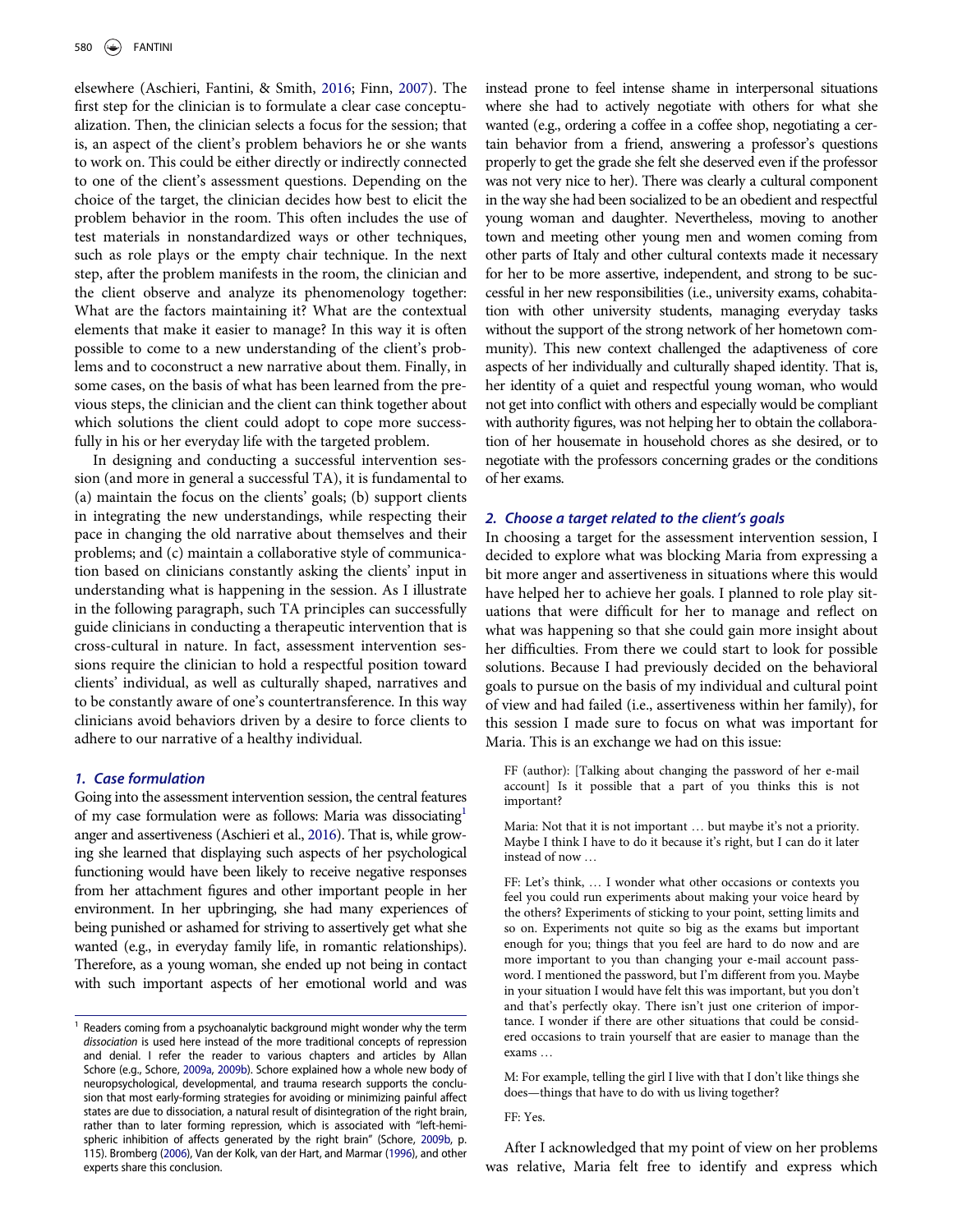elsewhere (Aschieri, Fantini, & Smith, [2016;](#page-7-25) Finn, [2007](#page-7-13)). The first step for the clinician is to formulate a clear case conceptualization. Then, the clinician selects a focus for the session; that is, an aspect of the client's problem behaviors he or she wants to work on. This could be either directly or indirectly connected to one of the client's assessment questions. Depending on the choice of the target, the clinician decides how best to elicit the problem behavior in the room. This often includes the use of test materials in nonstandardized ways or other techniques, such as role plays or the empty chair technique. In the next step, after the problem manifests in the room, the clinician and the client observe and analyze its phenomenology together: What are the factors maintaining it? What are the contextual elements that make it easier to manage? In this way it is often possible to come to a new understanding of the client's problems and to coconstruct a new narrative about them. Finally, in some cases, on the basis of what has been learned from the previous steps, the clinician and the client can think together about which solutions the client could adopt to cope more successfully in his or her everyday life with the targeted problem.

In designing and conducting a successful intervention session (and more in general a successful TA), it is fundamental to (a) maintain the focus on the clients' goals; (b) support clients in integrating the new understandings, while respecting their pace in changing the old narrative about themselves and their problems; and (c) maintain a collaborative style of communication based on clinicians constantly asking the clients' input in understanding what is happening in the session. As I illustrate in the following paragraph, such TA principles can successfully guide clinicians in conducting a therapeutic intervention that is cross-cultural in nature. In fact, assessment intervention sessions require the clinician to hold a respectful position toward clients' individual, as well as culturally shaped, narratives and to be constantly aware of one's countertransference. In this way clinicians avoid behaviors driven by a desire to force clients to adhere to our narrative of a healthy individual.

#### 1. Case formulation

Going into the assessment intervention session, the central features of my case formulation were as follows: Maria was dissociating anger and assertiveness (Aschieri et al., [2016](#page-7-25)). That is, while growing she learned that displaying such aspects of her psychological functioning would have been likely to receive negative responses from her attachment figures and other important people in her environment. In her upbringing, she had many experiences of being punished or ashamed for striving to assertively get what she wanted (e.g., in everyday family life, in romantic relationships). Therefore, as a young woman, she ended up not being in contact with such important aspects of her emotional world and was

instead prone to feel intense shame in interpersonal situations where she had to actively negotiate with others for what she wanted (e.g., ordering a coffee in a coffee shop, negotiating a certain behavior from a friend, answering a professor's questions properly to get the grade she felt she deserved even if the professor was not very nice to her). There was clearly a cultural component in the way she had been socialized to be an obedient and respectful young woman and daughter. Nevertheless, moving to another town and meeting other young men and women coming from other parts of Italy and other cultural contexts made it necessary for her to be more assertive, independent, and strong to be successful in her new responsibilities (i.e., university exams, cohabitation with other university students, managing everyday tasks without the support of the strong network of her hometown community). This new context challenged the adaptiveness of core aspects of her individually and culturally shaped identity. That is, her identity of a quiet and respectful young woman, who would not get into conflict with others and especially would be compliant with authority figures, was not helping her to obtain the collaboration of her housemate in household chores as she desired, or to negotiate with the professors concerning grades or the conditions of her exams.

#### 2. Choose a target related to the client's goals

In choosing a target for the assessment intervention session, I decided to explore what was blocking Maria from expressing a bit more anger and assertiveness in situations where this would have helped her to achieve her goals. I planned to role play situations that were difficult for her to manage and reflect on what was happening so that she could gain more insight about her difficulties. From there we could start to look for possible solutions. Because I had previously decided on the behavioral goals to pursue on the basis of my individual and cultural point of view and had failed (i.e., assertiveness within her family), for this session I made sure to focus on what was important for Maria. This is an exchange we had on this issue:

FF (author): [Talking about changing the password of her e-mail account] Is it possible that a part of you thinks this is not important?

Maria: Not that it is not important … but maybe it's not a priority. Maybe I think I have to do it because it's right, but I can do it later instead of now …

FF: Let's think, … I wonder what other occasions or contexts you feel you could run experiments about making your voice heard by the others? Experiments of sticking to your point, setting limits and so on. Experiments not quite so big as the exams but important enough for you; things that you feel are hard to do now and are more important to you than changing your e-mail account password. I mentioned the password, but I'm different from you. Maybe in your situation I would have felt this was important, but you don't and that's perfectly okay. There isn't just one criterion of importance. I wonder if there are other situations that could be considered occasions to train yourself that are easier to manage than the exams …

M: For example, telling the girl I live with that I don't like things she does—things that have to do with us living together?

FF: Yes.

After I acknowledged that my point of view on her problems was relative, Maria felt free to identify and express which

<span id="page-4-0"></span>Readers coming from a psychoanalytic background might wonder why the term dissociation is used here instead of the more traditional concepts of repression and denial. I refer the reader to various chapters and articles by Allan Schore (e.g., Schore, [2009a](#page-7-26), [2009b\)](#page-7-27). Schore explained how a whole new body of neuropsychological, developmental, and trauma research supports the conclusion that most early-forming strategies for avoiding or minimizing painful affect states are due to dissociation, a natural result of disintegration of the right brain, rather than to later forming repression, which is associated with "left-hemispheric inhibition of affects generated by the right brain" (Schore, [2009b](#page-7-27), p. 115). Bromberg [\(2006](#page-7-28)), Van der Kolk, van der Hart, and Marmar ([1996\)](#page-8-4), and other experts share this conclusion.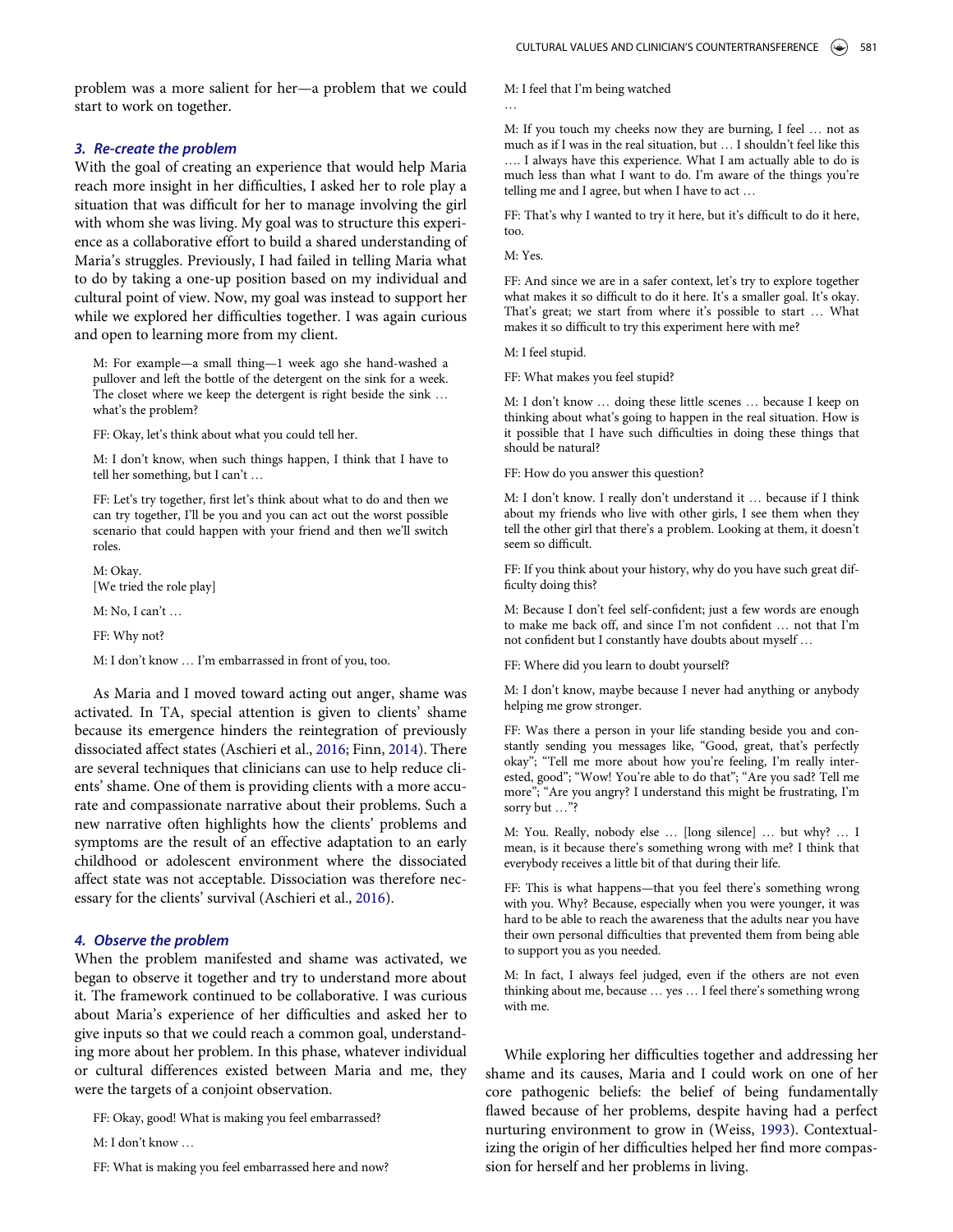problem was a more salient for her—a problem that we could start to work on together.

## 3. Re-create the problem

With the goal of creating an experience that would help Maria reach more insight in her difficulties, I asked her to role play a situation that was difficult for her to manage involving the girl with whom she was living. My goal was to structure this experience as a collaborative effort to build a shared understanding of Maria's struggles. Previously, I had failed in telling Maria what to do by taking a one-up position based on my individual and cultural point of view. Now, my goal was instead to support her while we explored her difficulties together. I was again curious and open to learning more from my client.

M: For example—a small thing—1 week ago she hand-washed a pullover and left the bottle of the detergent on the sink for a week. The closet where we keep the detergent is right beside the sink … what's the problem?

FF: Okay, let's think about what you could tell her.

M: I don't know, when such things happen, I think that I have to tell her something, but I can't …

FF: Let's try together, first let's think about what to do and then we can try together, I'll be you and you can act out the worst possible scenario that could happen with your friend and then we'll switch roles.

M: Okay. [We tried the role play]

M: No, I can't …

FF: Why not?

M: I don't know … I'm embarrassed in front of you, too.

As Maria and I moved toward acting out anger, shame was activated. In TA, special attention is given to clients' shame because its emergence hinders the reintegration of previously dissociated affect states (Aschieri et al., [2016](#page-7-25); Finn, [2014\)](#page-7-29). There are several techniques that clinicians can use to help reduce clients' shame. One of them is providing clients with a more accurate and compassionate narrative about their problems. Such a new narrative often highlights how the clients' problems and symptoms are the result of an effective adaptation to an early childhood or adolescent environment where the dissociated affect state was not acceptable. Dissociation was therefore necessary for the clients' survival (Aschieri et al., [2016\)](#page-7-25).

# 4. Observe the problem

When the problem manifested and shame was activated, we began to observe it together and try to understand more about it. The framework continued to be collaborative. I was curious about Maria's experience of her difficulties and asked her to give inputs so that we could reach a common goal, understanding more about her problem. In this phase, whatever individual or cultural differences existed between Maria and me, they were the targets of a conjoint observation.

FF: Okay, good! What is making you feel embarrassed?

M: I don't know …

FF: What is making you feel embarrassed here and now?

M: I feel that I'm being watched

…

M: If you touch my cheeks now they are burning, I feel … not as much as if I was in the real situation, but … I shouldn't feel like this …. I always have this experience. What I am actually able to do is much less than what I want to do. I'm aware of the things you're telling me and I agree, but when I have to act …

FF: That's why I wanted to try it here, but it's difficult to do it here, too.

M: Yes.

FF: And since we are in a safer context, let's try to explore together what makes it so difficult to do it here. It's a smaller goal. It's okay. That's great; we start from where it's possible to start … What makes it so difficult to try this experiment here with me?

M: I feel stupid.

FF: What makes you feel stupid?

M: I don't know … doing these little scenes … because I keep on thinking about what's going to happen in the real situation. How is it possible that I have such difficulties in doing these things that should be natural?

FF: How do you answer this question?

M: I don't know. I really don't understand it … because if I think about my friends who live with other girls, I see them when they tell the other girl that there's a problem. Looking at them, it doesn't seem so difficult.

FF: If you think about your history, why do you have such great difficulty doing this?

M: Because I don't feel self-confident; just a few words are enough to make me back off, and since I'm not confident … not that I'm not confident but I constantly have doubts about myself …

FF: Where did you learn to doubt yourself?

M: I don't know, maybe because I never had anything or anybody helping me grow stronger.

FF: Was there a person in your life standing beside you and constantly sending you messages like, "Good, great, that's perfectly okay"; "Tell me more about how you're feeling, I'm really interested, good"; "Wow! You're able to do that"; "Are you sad? Tell me more"; "Are you angry? I understand this might be frustrating, I'm sorry but …"?

M: You. Really, nobody else … [long silence] … but why? … I mean, is it because there's something wrong with me? I think that everybody receives a little bit of that during their life.

FF: This is what happens—that you feel there's something wrong with you. Why? Because, especially when you were younger, it was hard to be able to reach the awareness that the adults near you have their own personal difficulties that prevented them from being able to support you as you needed.

M: In fact, I always feel judged, even if the others are not even thinking about me, because … yes … I feel there's something wrong with me.

While exploring her difficulties together and addressing her shame and its causes, Maria and I could work on one of her core pathogenic beliefs: the belief of being fundamentally flawed because of her problems, despite having had a perfect nurturing environment to grow in (Weiss, [1993\)](#page-8-5). Contextualizing the origin of her difficulties helped her find more compassion for herself and her problems in living.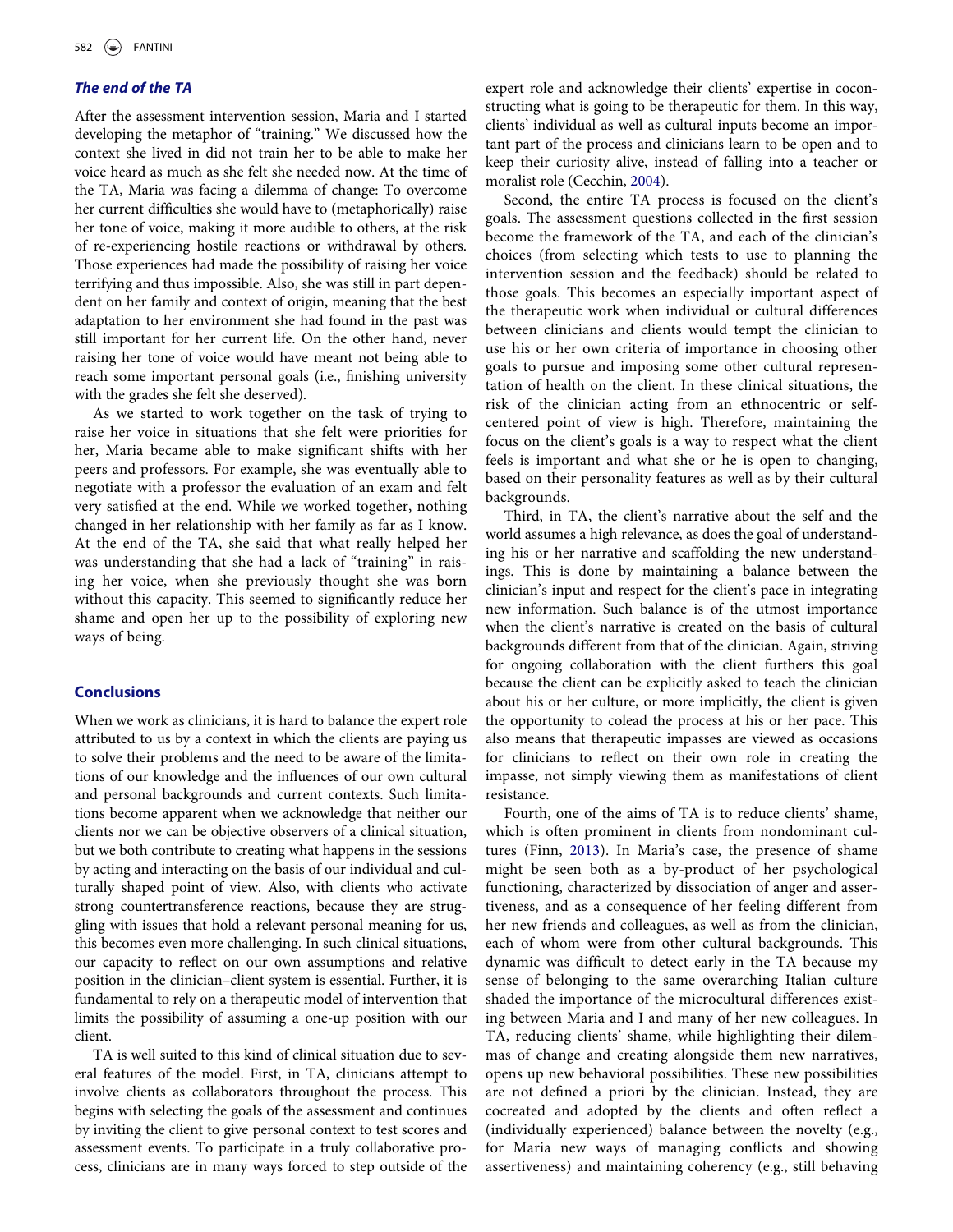# The end of the TA

After the assessment intervention session, Maria and I started developing the metaphor of "training." We discussed how the context she lived in did not train her to be able to make her voice heard as much as she felt she needed now. At the time of the TA, Maria was facing a dilemma of change: To overcome her current difficulties she would have to (metaphorically) raise her tone of voice, making it more audible to others, at the risk of re-experiencing hostile reactions or withdrawal by others. Those experiences had made the possibility of raising her voice terrifying and thus impossible. Also, she was still in part dependent on her family and context of origin, meaning that the best adaptation to her environment she had found in the past was still important for her current life. On the other hand, never raising her tone of voice would have meant not being able to reach some important personal goals (i.e., finishing university with the grades she felt she deserved).

As we started to work together on the task of trying to raise her voice in situations that she felt were priorities for her, Maria became able to make significant shifts with her peers and professors. For example, she was eventually able to negotiate with a professor the evaluation of an exam and felt very satisfied at the end. While we worked together, nothing changed in her relationship with her family as far as I know. At the end of the TA, she said that what really helped her was understanding that she had a lack of "training" in raising her voice, when she previously thought she was born without this capacity. This seemed to significantly reduce her shame and open her up to the possibility of exploring new ways of being.

# **Conclusions**

When we work as clinicians, it is hard to balance the expert role attributed to us by a context in which the clients are paying us to solve their problems and the need to be aware of the limitations of our knowledge and the influences of our own cultural and personal backgrounds and current contexts. Such limitations become apparent when we acknowledge that neither our clients nor we can be objective observers of a clinical situation, but we both contribute to creating what happens in the sessions by acting and interacting on the basis of our individual and culturally shaped point of view. Also, with clients who activate strong countertransference reactions, because they are struggling with issues that hold a relevant personal meaning for us, this becomes even more challenging. In such clinical situations, our capacity to reflect on our own assumptions and relative position in the clinician–client system is essential. Further, it is fundamental to rely on a therapeutic model of intervention that limits the possibility of assuming a one-up position with our client.

TA is well suited to this kind of clinical situation due to several features of the model. First, in TA, clinicians attempt to involve clients as collaborators throughout the process. This begins with selecting the goals of the assessment and continues by inviting the client to give personal context to test scores and assessment events. To participate in a truly collaborative process, clinicians are in many ways forced to step outside of the

expert role and acknowledge their clients' expertise in coconstructing what is going to be therapeutic for them. In this way, clients' individual as well as cultural inputs become an important part of the process and clinicians learn to be open and to keep their curiosity alive, instead of falling into a teacher or moralist role (Cecchin, [2004](#page-7-11)).

Second, the entire TA process is focused on the client's goals. The assessment questions collected in the first session become the framework of the TA, and each of the clinician's choices (from selecting which tests to use to planning the intervention session and the feedback) should be related to those goals. This becomes an especially important aspect of the therapeutic work when individual or cultural differences between clinicians and clients would tempt the clinician to use his or her own criteria of importance in choosing other goals to pursue and imposing some other cultural representation of health on the client. In these clinical situations, the risk of the clinician acting from an ethnocentric or selfcentered point of view is high. Therefore, maintaining the focus on the client's goals is a way to respect what the client feels is important and what she or he is open to changing, based on their personality features as well as by their cultural backgrounds.

Third, in TA, the client's narrative about the self and the world assumes a high relevance, as does the goal of understanding his or her narrative and scaffolding the new understandings. This is done by maintaining a balance between the clinician's input and respect for the client's pace in integrating new information. Such balance is of the utmost importance when the client's narrative is created on the basis of cultural backgrounds different from that of the clinician. Again, striving for ongoing collaboration with the client furthers this goal because the client can be explicitly asked to teach the clinician about his or her culture, or more implicitly, the client is given the opportunity to colead the process at his or her pace. This also means that therapeutic impasses are viewed as occasions for clinicians to reflect on their own role in creating the impasse, not simply viewing them as manifestations of client resistance.

Fourth, one of the aims of TA is to reduce clients' shame, which is often prominent in clients from nondominant cultures (Finn, [2013\)](#page-7-30). In Maria's case, the presence of shame might be seen both as a by-product of her psychological functioning, characterized by dissociation of anger and assertiveness, and as a consequence of her feeling different from her new friends and colleagues, as well as from the clinician, each of whom were from other cultural backgrounds. This dynamic was difficult to detect early in the TA because my sense of belonging to the same overarching Italian culture shaded the importance of the microcultural differences existing between Maria and I and many of her new colleagues. In TA, reducing clients' shame, while highlighting their dilemmas of change and creating alongside them new narratives, opens up new behavioral possibilities. These new possibilities are not defined a priori by the clinician. Instead, they are cocreated and adopted by the clients and often reflect a (individually experienced) balance between the novelty (e.g., for Maria new ways of managing conflicts and showing assertiveness) and maintaining coherency (e.g., still behaving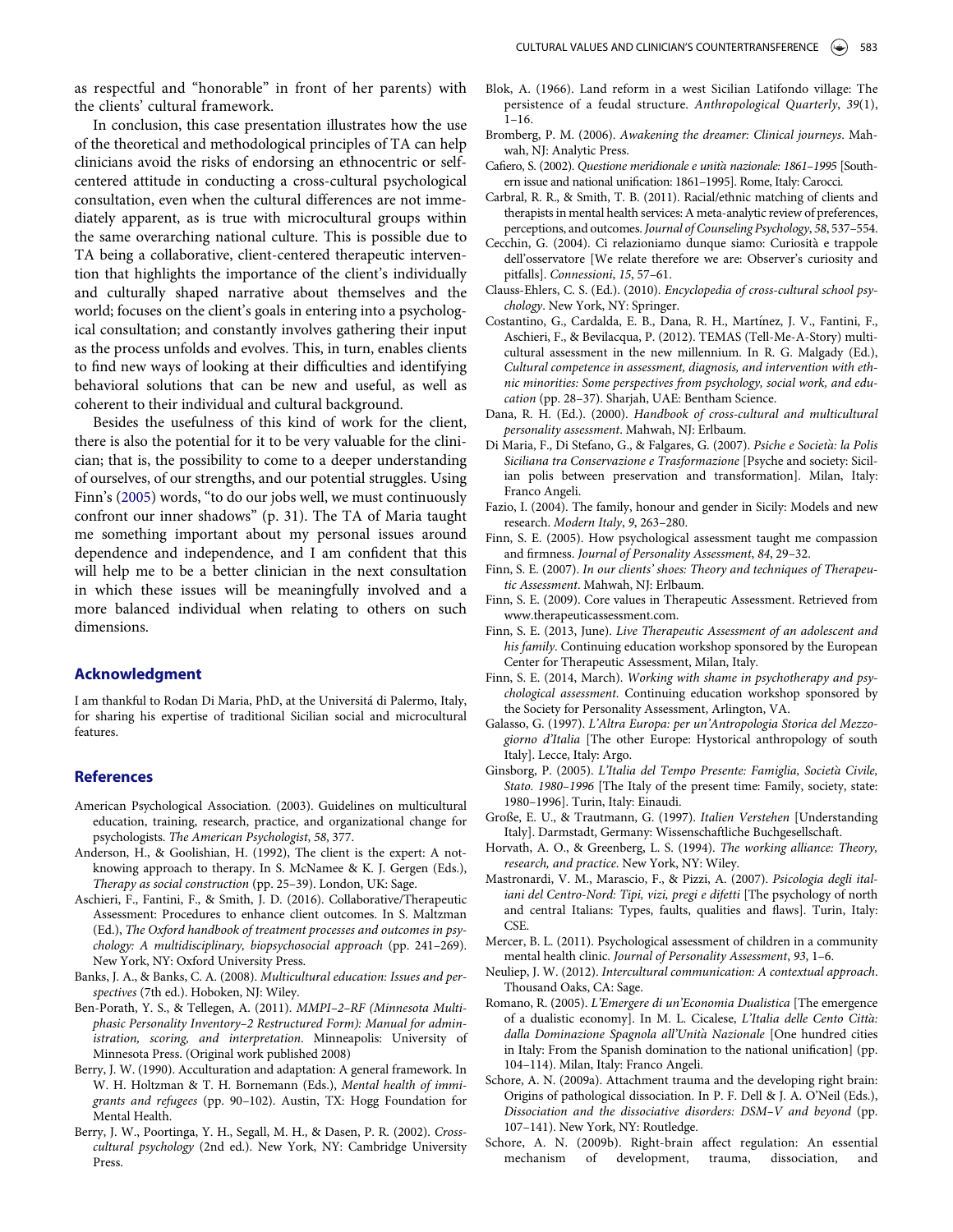<span id="page-7-16"></span>as respectful and "honorable" in front of her parents) with the clients' cultural framework.

<span id="page-7-28"></span><span id="page-7-17"></span><span id="page-7-11"></span><span id="page-7-8"></span>In conclusion, this case presentation illustrates how the use of the theoretical and methodological principles of TA can help clinicians avoid the risks of endorsing an ethnocentric or selfcentered attitude in conducting a cross-cultural psychological consultation, even when the cultural differences are not immediately apparent, as is true with microcultural groups within the same overarching national culture. This is possible due to TA being a collaborative, client-centered therapeutic intervention that highlights the importance of the client's individually and culturally shaped narrative about themselves and the world; focuses on the client's goals in entering into a psychological consultation; and constantly involves gathering their input as the process unfolds and evolves. This, in turn, enables clients to find new ways of looking at their difficulties and identifying behavioral solutions that can be new and useful, as well as coherent to their individual and cultural background.

<span id="page-7-31"></span><span id="page-7-24"></span><span id="page-7-23"></span><span id="page-7-9"></span><span id="page-7-6"></span><span id="page-7-3"></span>Besides the usefulness of this kind of work for the client, there is also the potential for it to be very valuable for the clinician; that is, the possibility to come to a deeper understanding of ourselves, of our strengths, and our potential struggles. Using Finn's ([2005](#page-7-31)) words, "to do our jobs well, we must continuously confront our inner shadows" (p. 31). The TA of Maria taught me something important about my personal issues around dependence and independence, and I am confident that this will help me to be a better clinician in the next consultation in which these issues will be meaningfully involved and a more balanced individual when relating to others on such dimensions.

## <span id="page-7-30"></span><span id="page-7-29"></span><span id="page-7-14"></span><span id="page-7-13"></span>Acknowledgment

<span id="page-7-22"></span>I am thankful to Rodan Di Maria, PhD, at the Universitá di Palermo, Italy, for sharing his expertise of traditional Sicilian social and microcultural features.

## <span id="page-7-20"></span>References

- <span id="page-7-18"></span><span id="page-7-7"></span>American Psychological Association. (2003). Guidelines on multicultural education, training, research, practice, and organizational change for psychologists. The American Psychologist, 58, 377.
- <span id="page-7-12"></span><span id="page-7-10"></span>Anderson, H., & Goolishian, H. (1992), The client is the expert: A notknowing approach to therapy. In S. McNamee & K. J. Gergen (Eds.), Therapy as social construction (pp. 25–39). London, UK: Sage.
- <span id="page-7-25"></span><span id="page-7-19"></span><span id="page-7-4"></span>Aschieri, F., Fantini, F., & Smith, J. D. (2016). Collaborative/Therapeutic Assessment: Procedures to enhance client outcomes. In S. Maltzman (Ed.), The Oxford handbook of treatment processes and outcomes in psychology: A multidisciplinary, biopsychosocial approach (pp. 241–269). New York, NY: Oxford University Press.
- <span id="page-7-1"></span><span id="page-7-0"></span>Banks, J. A., & Banks, C. A. (2008). Multicultural education: Issues and perspectives (7th ed.). Hoboken, NJ: Wiley.
- <span id="page-7-21"></span><span id="page-7-15"></span>Ben-Porath, Y. S., & Tellegen, A. (2011). MMPI–2–RF (Minnesota Multiphasic Personality Inventory–2 Restructured Form): Manual for administration, scoring, and interpretation. Minneapolis: University of Minnesota Press. (Original work published 2008)
- <span id="page-7-26"></span><span id="page-7-5"></span>Berry, J. W. (1990). Acculturation and adaptation: A general framework. In W. H. Holtzman & T. H. Bornemann (Eds.), Mental health of immigrants and refugees (pp. 90–102). Austin, TX: Hogg Foundation for Mental Health.
- <span id="page-7-27"></span><span id="page-7-2"></span>Berry, J. W., Poortinga, Y. H., Segall, M. H., & Dasen, P. R. (2002). Crosscultural psychology (2nd ed.). New York, NY: Cambridge University Press.
- Blok, A. (1966). Land reform in a west Sicilian Latifondo village: The persistence of a feudal structure. Anthropological Quarterly, 39(1), 1–16.
- Bromberg, P. M. (2006). Awakening the dreamer: Clinical journeys. Mahwah, NJ: Analytic Press.
- Cafiero, S. (2002). Questione meridionale e unità nazionale: 1861-1995 [Southern issue and national unification: 1861–1995]. Rome, Italy: Carocci.
- Carbral, R. R., & Smith, T. B. (2011). Racial/ethnic matching of clients and therapists in mental health services: A meta-analytic review of preferences, perceptions, and outcomes. Journal of Counseling Psychology, 58, 537–554.
- Cecchin, G. (2004). Ci relazioniamo dunque siamo: Curiosità e trappole dell'osservatore [We relate therefore we are: Observer's curiosity and pitfalls]. Connessioni, 15, 57–61.
- Clauss-Ehlers, C. S. (Ed.). (2010). Encyclopedia of cross-cultural school psychology. New York, NY: Springer.
- Costantino, G., Cardalda, E. B., Dana, R. H., Martínez, J. V., Fantini, F., Aschieri, F., & Bevilacqua, P. (2012). TEMAS (Tell-Me-A-Story) multicultural assessment in the new millennium. In R. G. Malgady (Ed.), Cultural competence in assessment, diagnosis, and intervention with ethnic minorities: Some perspectives from psychology, social work, and education (pp. 28–37). Sharjah, UAE: Bentham Science.
- Dana, R. H. (Ed.). (2000). Handbook of cross-cultural and multicultural personality assessment. Mahwah, NJ: Erlbaum.
- Di Maria, F., Di Stefano, G., & Falgares, G. (2007). Psiche e Società: la Polis Siciliana tra Conservazione e Trasformazione [Psyche and society: Sicilian polis between preservation and transformation]. Milan, Italy: Franco Angeli.
- Fazio, I. (2004). The family, honour and gender in Sicily: Models and new research. Modern Italy, 9, 263–280.
- Finn, S. E. (2005). How psychological assessment taught me compassion and firmness. Journal of Personality Assessment, 84, 29–32.
- Finn, S. E. (2007). In our clients' shoes: Theory and techniques of Therapeutic Assessment. Mahwah, NJ: Erlbaum.
- Finn, S. E. (2009). Core values in Therapeutic Assessment. Retrieved from [www.therapeuticassessment.com.](http://www.therapeuticassessment.com)
- Finn, S. E. (2013, June). Live Therapeutic Assessment of an adolescent and his family. Continuing education workshop sponsored by the European Center for Therapeutic Assessment, Milan, Italy.
- Finn, S. E. (2014, March). Working with shame in psychotherapy and psychological assessment. Continuing education workshop sponsored by the Society for Personality Assessment, Arlington, VA.
- Galasso, G. (1997). L'Altra Europa: per un'Antropologia Storica del Mezzogiorno d'Italia [The other Europe: Hystorical anthropology of south Italy]. Lecce, Italy: Argo.
- Ginsborg, P. (2005). L'Italia del Tempo Presente: Famiglia, Società Civile, Stato. 1980–1996 [The Italy of the present time: Family, society, state: 1980–1996]. Turin, Italy: Einaudi.
- Große, E. U., & Trautmann, G. (1997). Italien Verstehen [Understanding Italy]. Darmstadt, Germany: Wissenschaftliche Buchgesellschaft.
- Horvath, A. O., & Greenberg, L. S. (1994). The working alliance: Theory, research, and practice. New York, NY: Wiley.
- Mastronardi, V. M., Marascio, F., & Pizzi, A. (2007). Psicologia degli italiani del Centro-Nord: Tipi, vizi, pregi e difetti [The psychology of north and central Italians: Types, faults, qualities and flaws]. Turin, Italy: CSE.
- Mercer, B. L. (2011). Psychological assessment of children in a community mental health clinic. Journal of Personality Assessment, 93, 1–6.
- Neuliep, J. W. (2012). Intercultural communication: A contextual approach. Thousand Oaks, CA: Sage.
- Romano, R. (2005). L'Emergere di un'Economia Dualistica [The emergence of a dualistic economy]. In M. L. Cicalese, L'Italia delle Cento Città: dalla Dominazione Spagnola all'Unità Nazionale [One hundred cities in Italy: From the Spanish domination to the national unification] (pp. 104–114). Milan, Italy: Franco Angeli.
- Schore, A. N. (2009a). Attachment trauma and the developing right brain: Origins of pathological dissociation. In P. F. Dell & J. A. O'Neil (Eds.), Dissociation and the dissociative disorders: DSM–V and beyond (pp. 107–141). New York, NY: Routledge.
- Schore, A. N. (2009b). Right-brain affect regulation: An essential mechanism of development, trauma, dissociation, and